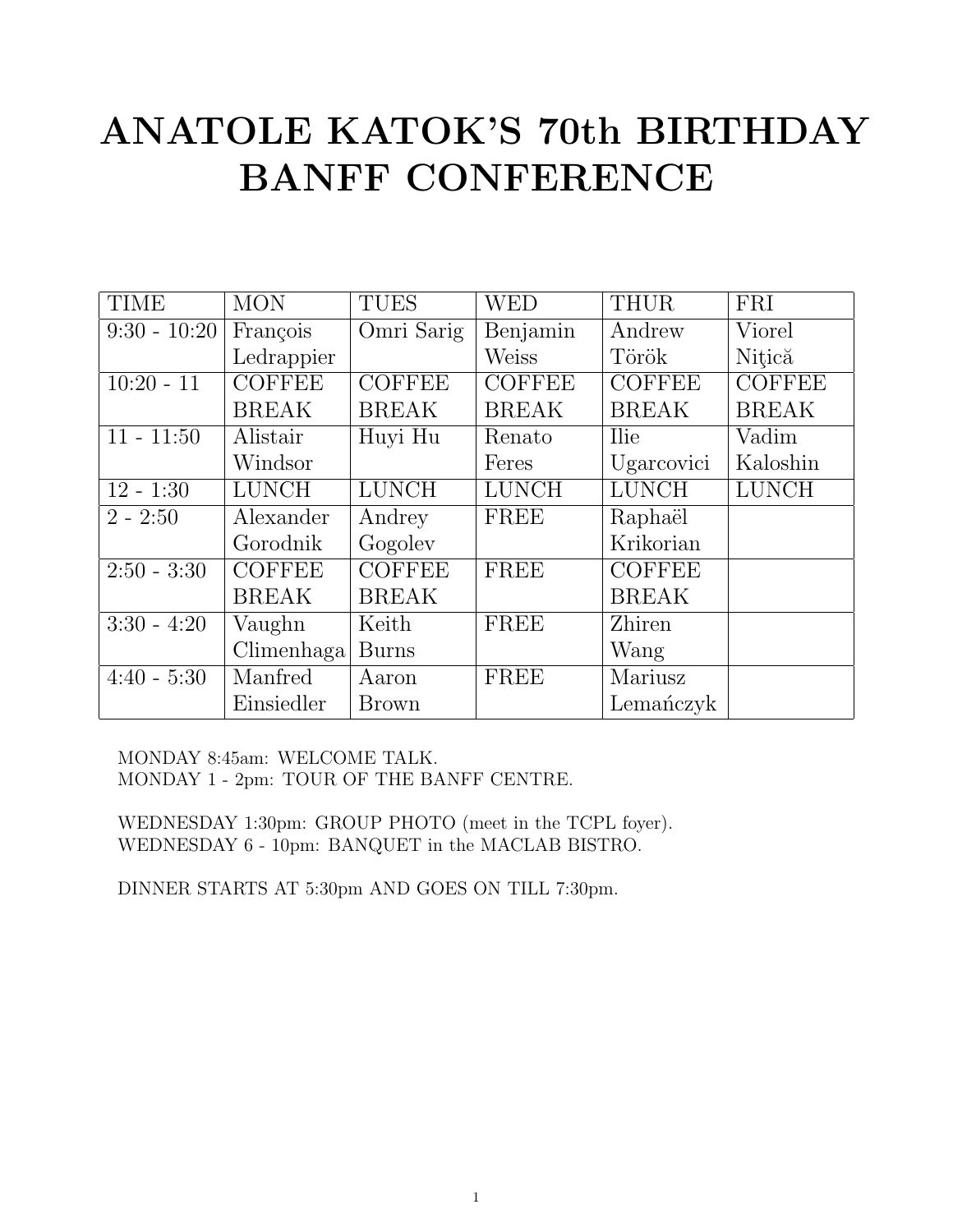# ANATOLE KATOK'S 70th BIRTHDAY BANFF CONFERENCE

| <b>TIME</b>    | <b>MON</b>    | <b>TUES</b>   | <b>WED</b>    | <b>THUR</b>   | FRI           |
|----------------|---------------|---------------|---------------|---------------|---------------|
| $9:30 - 10:20$ | François      | Omri Sarig    | Benjamin      | Andrew        | Viorel        |
|                | Ledrappier    |               | <b>Weiss</b>  | Török         | Nitică        |
| $10:20 - 11$   | <b>COFFEE</b> | <b>COFFEE</b> | <b>COFFEE</b> | <b>COFFEE</b> | <b>COFFEE</b> |
|                | <b>BREAK</b>  | <b>BREAK</b>  | <b>BREAK</b>  | <b>BREAK</b>  | <b>BREAK</b>  |
| $11 - 11:50$   | Alistair      | Huyi Hu       | Renato        | <b>Ilie</b>   | Vadim         |
|                | Windsor       |               | Feres         | Ugarcovici    | Kaloshin      |
| $12 - 1:30$    | <b>LUNCH</b>  | <b>LUNCH</b>  | <b>LUNCH</b>  | <b>LUNCH</b>  | <b>LUNCH</b>  |
| $2 - 2:50$     | Alexander     | Andrey        | FREE          | Raphaël       |               |
|                | Gorodnik      | Gogoley       |               | Krikorian     |               |
| $2:50 - 3:30$  | <b>COFFEE</b> | <b>COFFEE</b> | FREE          | <b>COFFEE</b> |               |
|                | <b>BREAK</b>  | <b>BREAK</b>  |               | <b>BREAK</b>  |               |
| $3:30 - 4:20$  | Vaughn        | Keith         | FREE          | Zhiren        |               |
|                | Climenhaga    | <b>Burns</b>  |               | Wang          |               |
| $4:40 - 5:30$  | Manfred       | Aaron         | FREE          | Mariusz       |               |
|                | Einsiedler    | <b>Brown</b>  |               | Lemanczyk     |               |

MONDAY 8:45am: WELCOME TALK. MONDAY 1 - 2pm: TOUR OF THE BANFF CENTRE.

WEDNESDAY 1:30pm: GROUP PHOTO (meet in the TCPL foyer). WEDNESDAY 6 - 10pm: BANQUET in the MACLAB BISTRO.

DINNER STARTS AT 5:30pm AND GOES ON TILL 7:30pm.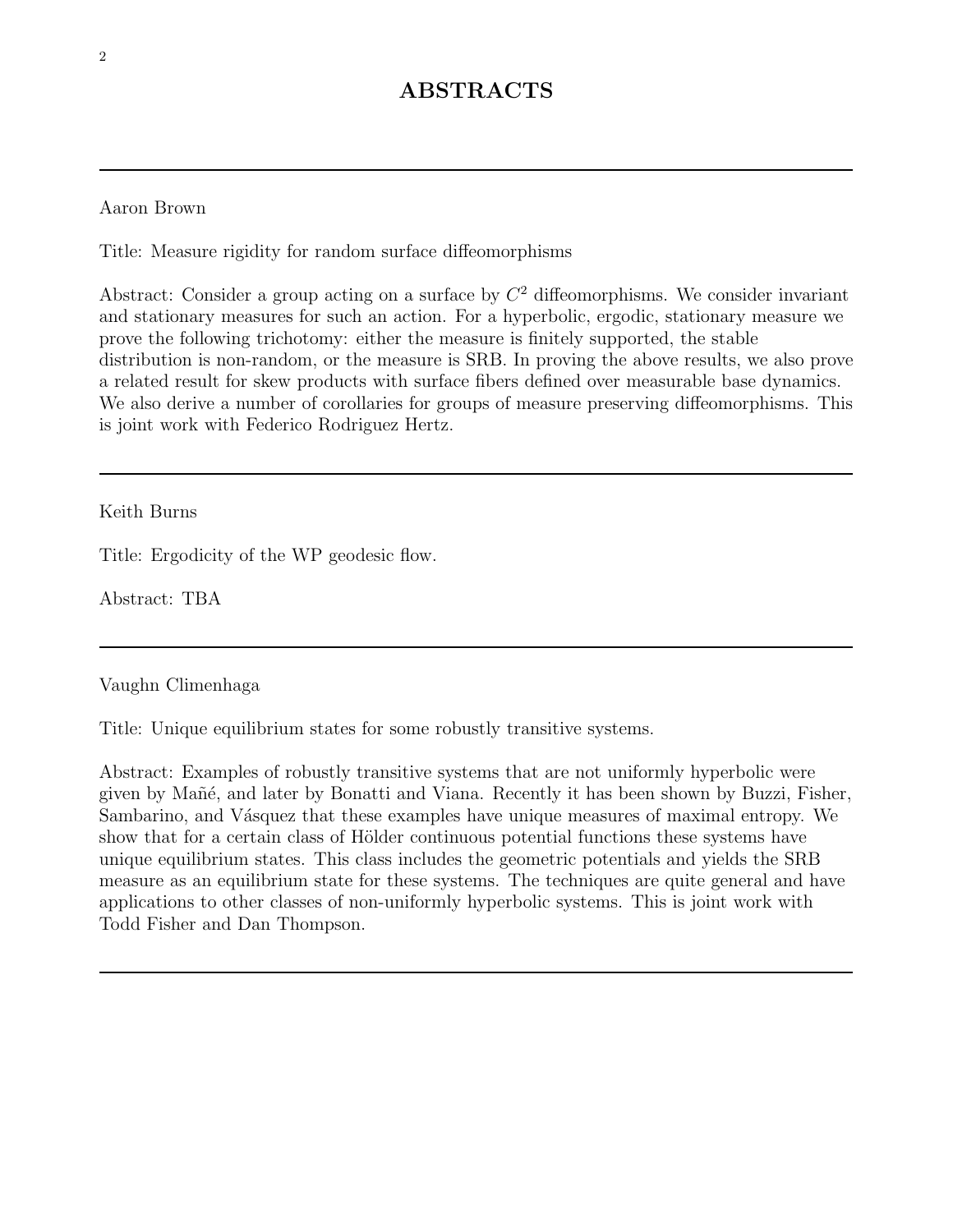# ABSTRACTS

### Aaron Brown

Title: Measure rigidity for random surface diffeomorphisms

Abstract: Consider a group acting on a surface by  $C<sup>2</sup>$  diffeomorphisms. We consider invariant and stationary measures for such an action. For a hyperbolic, ergodic, stationary measure we prove the following trichotomy: either the measure is finitely supported, the stable distribution is non-random, or the measure is SRB. In proving the above results, we also prove a related result for skew products with surface fibers defined over measurable base dynamics. We also derive a number of corollaries for groups of measure preserving diffeomorphisms. This is joint work with Federico Rodriguez Hertz.

Keith Burns

Title: Ergodicity of the WP geodesic flow.

Abstract: TBA

Vaughn Climenhaga

Title: Unique equilibrium states for some robustly transitive systems.

Abstract: Examples of robustly transitive systems that are not uniformly hyperbolic were given by Mañé, and later by Bonatti and Viana. Recently it has been shown by Buzzi, Fisher, Sambarino, and Vásquez that these examples have unique measures of maximal entropy. We show that for a certain class of Hölder continuous potential functions these systems have unique equilibrium states. This class includes the geometric potentials and yields the SRB measure as an equilibrium state for these systems. The techniques are quite general and have applications to other classes of non-uniformly hyperbolic systems. This is joint work with Todd Fisher and Dan Thompson.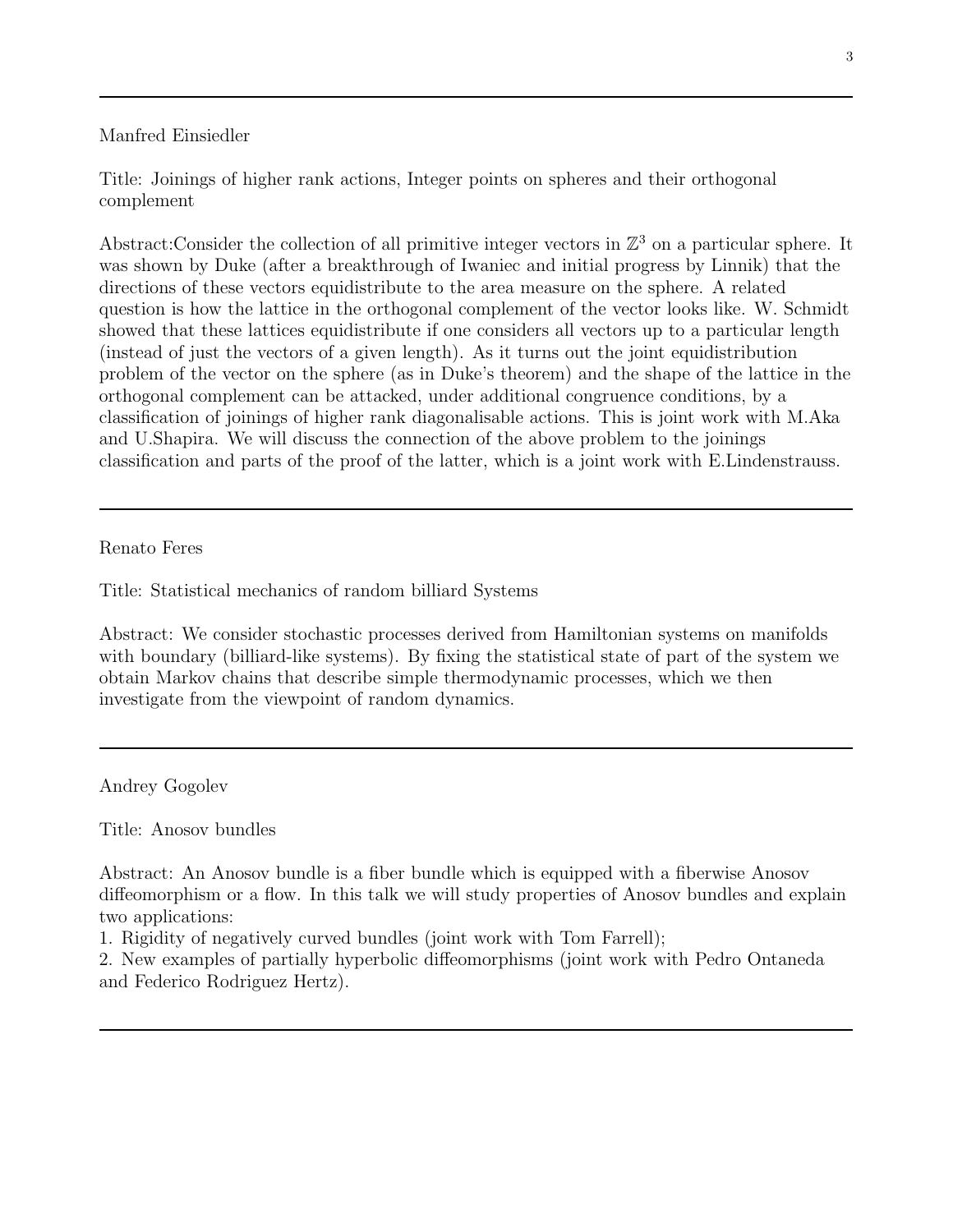#### Manfred Einsiedler

Title: Joinings of higher rank actions, Integer points on spheres and their orthogonal complement

Abstract:Consider the collection of all primitive integer vectors in  $\mathbb{Z}^3$  on a particular sphere. It was shown by Duke (after a breakthrough of Iwaniec and initial progress by Linnik) that the directions of these vectors equidistribute to the area measure on the sphere. A related question is how the lattice in the orthogonal complement of the vector looks like. W. Schmidt showed that these lattices equidistribute if one considers all vectors up to a particular length (instead of just the vectors of a given length). As it turns out the joint equidistribution problem of the vector on the sphere (as in Duke's theorem) and the shape of the lattice in the orthogonal complement can be attacked, under additional congruence conditions, by a classification of joinings of higher rank diagonalisable actions. This is joint work with M.Aka and U.Shapira. We will discuss the connection of the above problem to the joinings classification and parts of the proof of the latter, which is a joint work with E.Lindenstrauss.

Renato Feres

Title: Statistical mechanics of random billiard Systems

Abstract: We consider stochastic processes derived from Hamiltonian systems on manifolds with boundary (billiard-like systems). By fixing the statistical state of part of the system we obtain Markov chains that describe simple thermodynamic processes, which we then investigate from the viewpoint of random dynamics.

Andrey Gogolev

Title: Anosov bundles

Abstract: An Anosov bundle is a fiber bundle which is equipped with a fiberwise Anosov diffeomorphism or a flow. In this talk we will study properties of Anosov bundles and explain two applications:

1. Rigidity of negatively curved bundles (joint work with Tom Farrell);

2. New examples of partially hyperbolic diffeomorphisms (joint work with Pedro Ontaneda and Federico Rodriguez Hertz).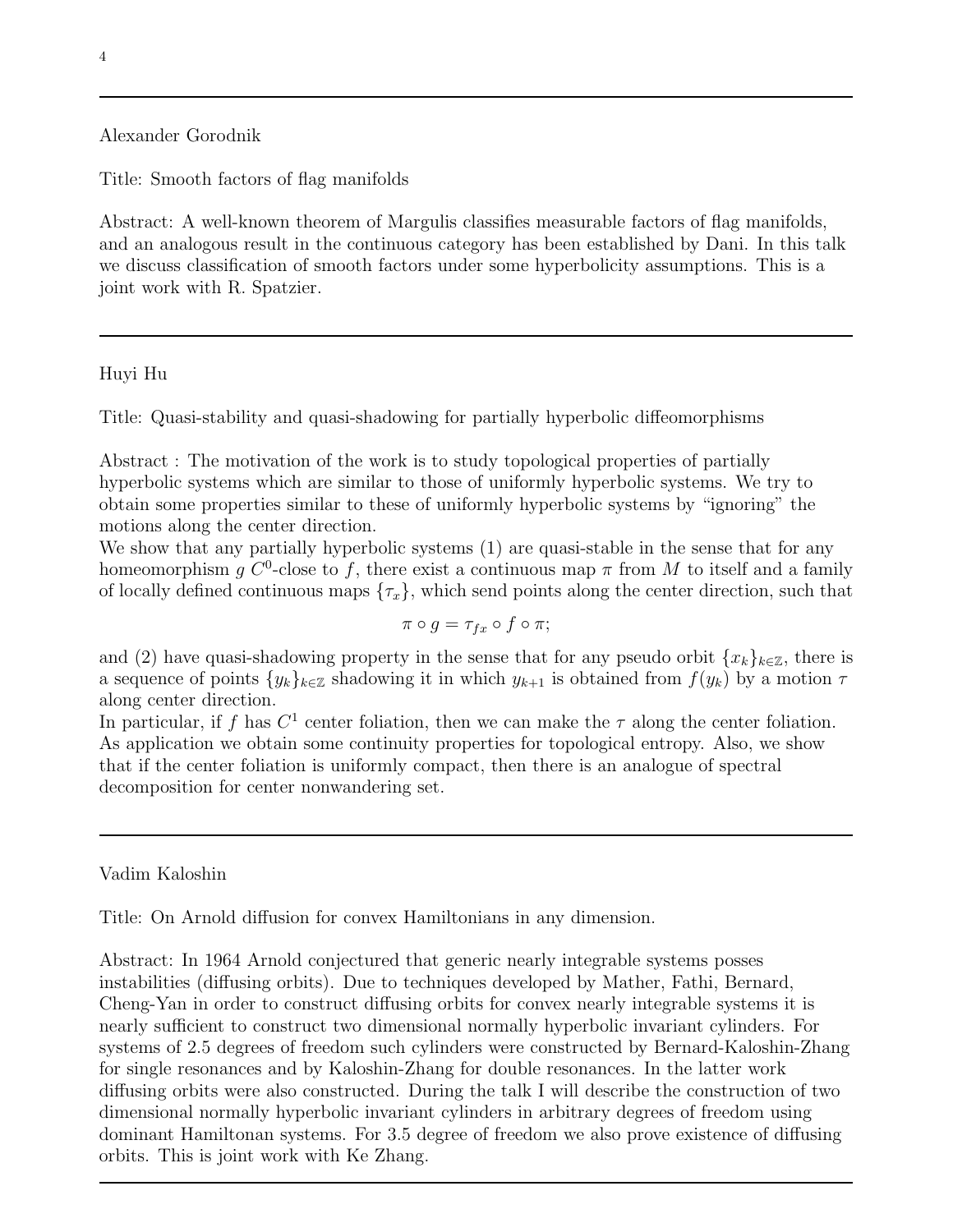### Alexander Gorodnik

Title: Smooth factors of flag manifolds

Abstract: A well-known theorem of Margulis classifies measurable factors of flag manifolds, and an analogous result in the continuous category has been established by Dani. In this talk we discuss classification of smooth factors under some hyperbolicity assumptions. This is a joint work with R. Spatzier.

#### Huyi Hu

Title: Quasi-stability and quasi-shadowing for partially hyperbolic diffeomorphisms

Abstract : The motivation of the work is to study topological properties of partially hyperbolic systems which are similar to those of uniformly hyperbolic systems. We try to obtain some properties similar to these of uniformly hyperbolic systems by "ignoring" the motions along the center direction.

We show that any partially hyperbolic systems  $(1)$  are quasi-stable in the sense that for any homeomorphism *g*  $C^0$ -close to *f*, there exist a continuous map  $\pi$  from *M* to itself and a family of locally defined continuous maps  $\{\tau_x\}$ , which send points along the center direction, such that

$$
\pi \circ g = \tau_{fx} \circ f \circ \pi;
$$

and (2) have quasi-shadowing property in the sense that for any pseudo orbit  $\{x_k\}_{k\in\mathbb{Z}}$ , there is a sequence of points  $\{y_k\}_{k\in\mathbb{Z}}$  shadowing it in which  $y_{k+1}$  is obtained from  $f(y_k)$  by a motion  $\tau$ along center direction.

In particular, if f has  $C^1$  center foliation, then we can make the  $\tau$  along the center foliation. As application we obtain some continuity properties for topological entropy. Also, we show that if the center foliation is uniformly compact, then there is an analogue of spectral decomposition for center nonwandering set.

Vadim Kaloshin

Title: On Arnold diffusion for convex Hamiltonians in any dimension.

Abstract: In 1964 Arnold conjectured that generic nearly integrable systems posses instabilities (diffusing orbits). Due to techniques developed by Mather, Fathi, Bernard, Cheng-Yan in order to construct diffusing orbits for convex nearly integrable systems it is nearly sufficient to construct two dimensional normally hyperbolic invariant cylinders. For systems of 2.5 degrees of freedom such cylinders were constructed by Bernard-Kaloshin-Zhang for single resonances and by Kaloshin-Zhang for double resonances. In the latter work diffusing orbits were also constructed. During the talk I will describe the construction of two dimensional normally hyperbolic invariant cylinders in arbitrary degrees of freedom using dominant Hamiltonan systems. For 3.5 degree of freedom we also prove existence of diffusing orbits. This is joint work with Ke Zhang.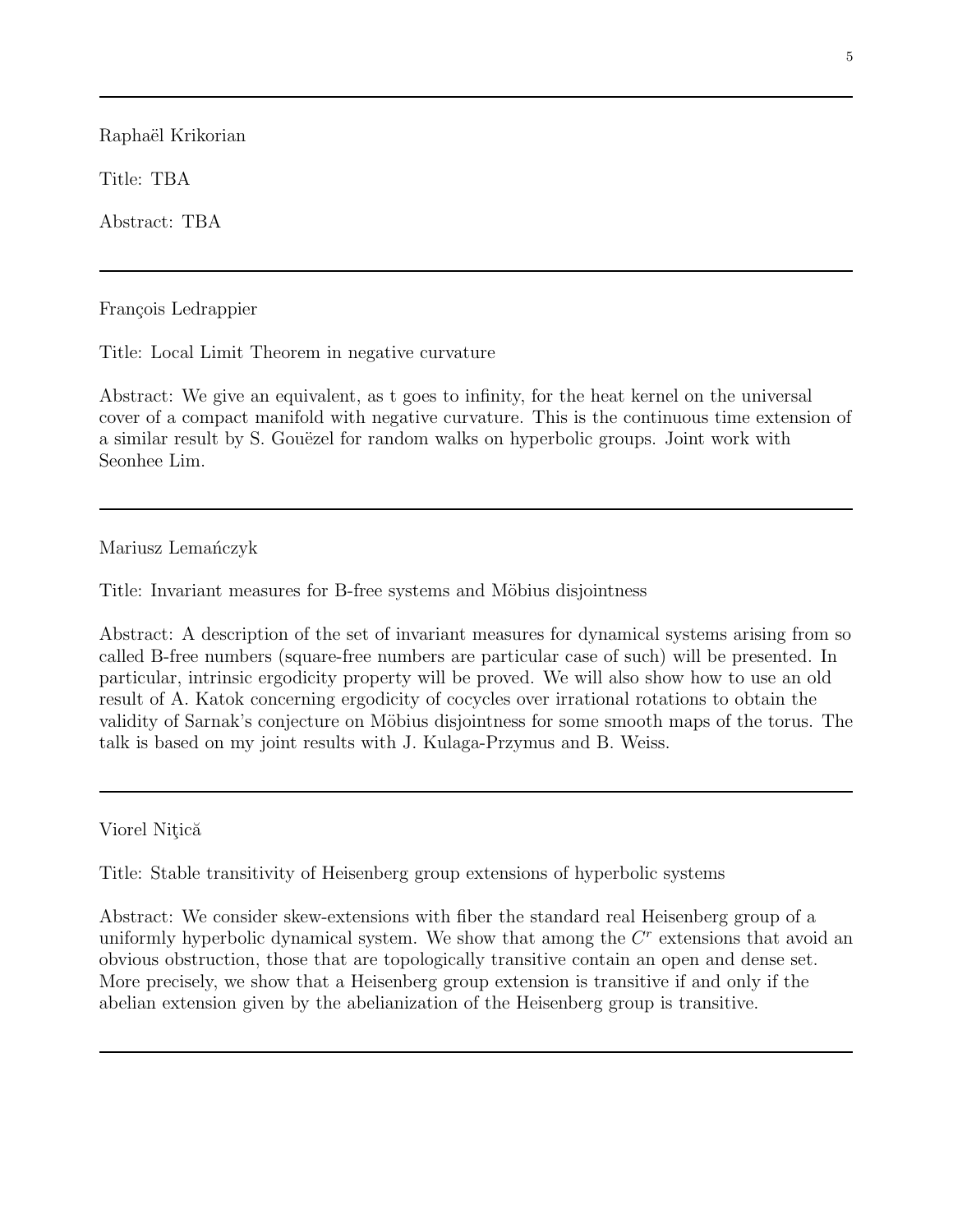Raphaël Krikorian

Title: TBA

Abstract: TBA

François Ledrappier

Title: Local Limit Theorem in negative curvature

Abstract: We give an equivalent, as t goes to infinity, for the heat kernel on the universal cover of a compact manifold with negative curvature. This is the continuous time extension of a similar result by S. Gouëzel for random walks on hyperbolic groups. Joint work with Seonhee Lim.

Mariusz Lemańczyk

Title: Invariant measures for B-free systems and Möbius disjointness

Abstract: A description of the set of invariant measures for dynamical systems arising from so called B-free numbers (square-free numbers are particular case of such) will be presented. In particular, intrinsic ergodicity property will be proved. We will also show how to use an old result of A. Katok concerning ergodicity of cocycles over irrational rotations to obtain the validity of Sarnak's conjecture on Möbius disjointness for some smooth maps of the torus. The talk is based on my joint results with J. Kulaga-Przymus and B. Weiss.

Viorel Nițică

Title: Stable transitivity of Heisenberg group extensions of hyperbolic systems

Abstract: We consider skew-extensions with fiber the standard real Heisenberg group of a uniformly hyperbolic dynamical system. We show that among the *C<sup>r</sup>* extensions that avoid an obvious obstruction, those that are topologically transitive contain an open and dense set. More precisely, we show that a Heisenberg group extension is transitive if and only if the abelian extension given by the abelianization of the Heisenberg group is transitive.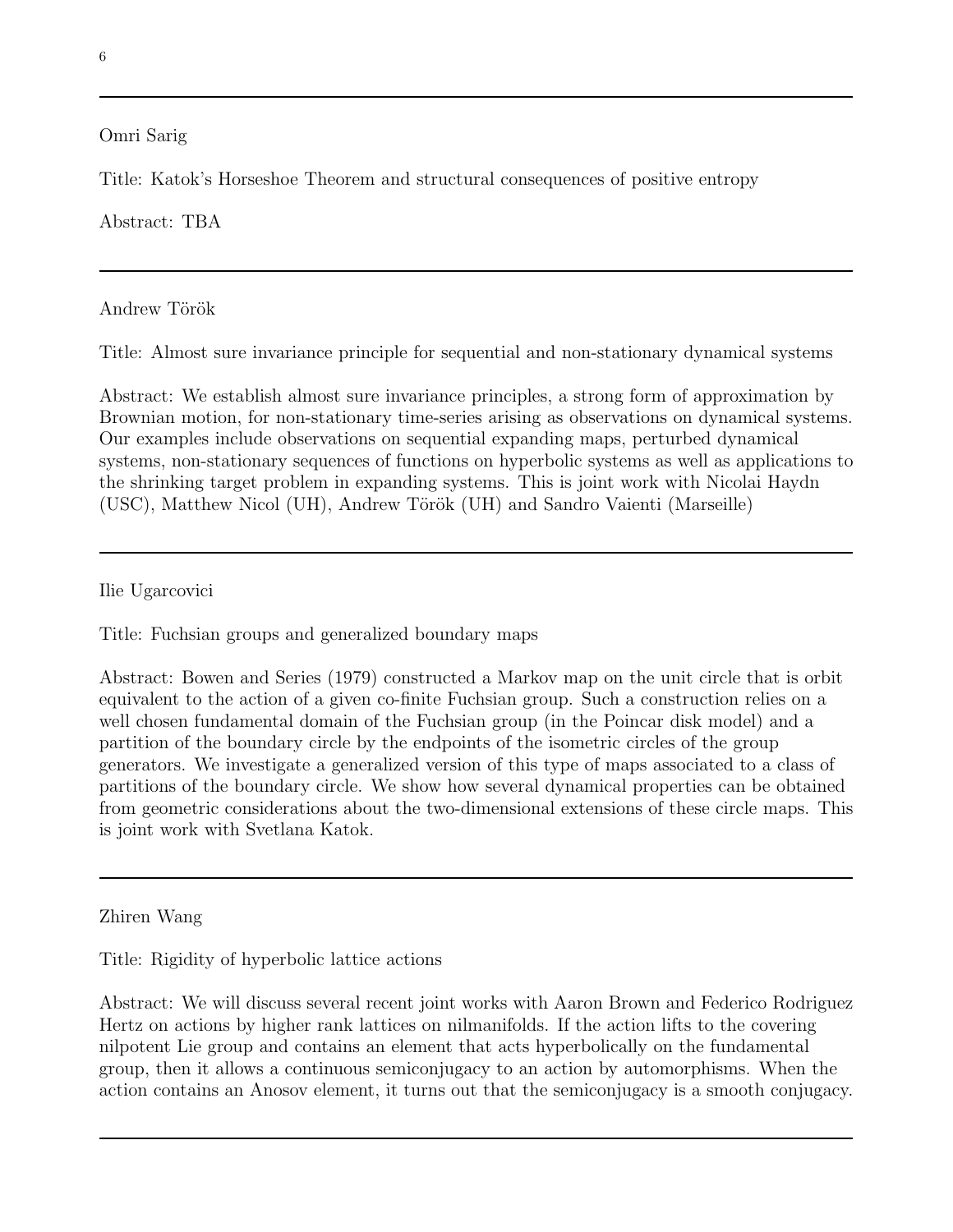#### Omri Sarig

Title: Katok's Horseshoe Theorem and structural consequences of positive entropy

## Abstract: TBA

Andrew Török

Title: Almost sure invariance principle for sequential and non-stationary dynamical systems

Abstract: We establish almost sure invariance principles, a strong form of approximation by Brownian motion, for non-stationary time-series arising as observations on dynamical systems. Our examples include observations on sequential expanding maps, perturbed dynamical systems, non-stationary sequences of functions on hyperbolic systems as well as applications to the shrinking target problem in expanding systems. This is joint work with Nicolai Haydn (USC), Matthew Nicol (UH), Andrew Török (UH) and Sandro Vaienti (Marseille)

Ilie Ugarcovici

Title: Fuchsian groups and generalized boundary maps

Abstract: Bowen and Series (1979) constructed a Markov map on the unit circle that is orbit equivalent to the action of a given co-finite Fuchsian group. Such a construction relies on a well chosen fundamental domain of the Fuchsian group (in the Poincar disk model) and a partition of the boundary circle by the endpoints of the isometric circles of the group generators. We investigate a generalized version of this type of maps associated to a class of partitions of the boundary circle. We show how several dynamical properties can be obtained from geometric considerations about the two-dimensional extensions of these circle maps. This is joint work with Svetlana Katok.

Zhiren Wang

Title: Rigidity of hyperbolic lattice actions

Abstract: We will discuss several recent joint works with Aaron Brown and Federico Rodriguez Hertz on actions by higher rank lattices on nilmanifolds. If the action lifts to the covering nilpotent Lie group and contains an element that acts hyperbolically on the fundamental group, then it allows a continuous semiconjugacy to an action by automorphisms. When the action contains an Anosov element, it turns out that the semiconjugacy is a smooth conjugacy.